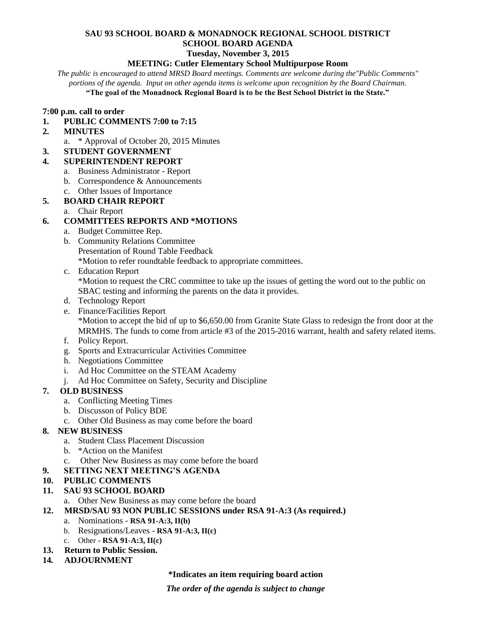#### **SAU 93 SCHOOL BOARD & MONADNOCK REGIONAL SCHOOL DISTRICT SCHOOL BOARD AGENDA Tuesday, November 3, 2015**

#### **MEETING: Cutler Elementary School Multipurpose Room**

*The public is encouraged to attend MRSD Board meetings. Comments are welcome during the"Public Comments" portions of the agenda. Input on other agenda items is welcome upon recognition by the Board Chairman.*

**"The goal of the Monadnock Regional Board is to be the Best School District in the State."**

#### **7:00 p.m. call to order**

#### **1. PUBLIC COMMENTS 7:00 to 7:15**

- **2. MINUTES** 
	- a. \* Approval of October 20, 2015 Minutes
- **3. STUDENT GOVERNMENT**

#### **4. SUPERINTENDENT REPORT**

- a. Business Administrator Report
- b. Correspondence & Announcements
- c. Other Issues of Importance

### **5. BOARD CHAIR REPORT**

a. Chair Report

### **6. COMMITTEES REPORTS AND \*MOTIONS**

- a. Budget Committee Rep.
- b. Community Relations Committee Presentation of Round Table Feedback \*Motion to refer roundtable feedback to appropriate committees.
- c. Education Report \*Motion to request the CRC committee to take up the issues of getting the word out to the public on SBAC testing and informing the parents on the data it provides.
- d. Technology Report
- e. Finance/Facilities Report \*Motion to accept the bid of up to \$6,650.00 from Granite State Glass to redesign the front door at the MRMHS. The funds to come from article #3 of the 2015-2016 warrant, health and safety related items.
- f. Policy Report.
- g. Sports and Extracurricular Activities Committee
- h. Negotiations Committee
- i. Ad Hoc Committee on the STEAM Academy
- j. Ad Hoc Committee on Safety, Security and Discipline

### **7. OLD BUSINESS**

- a. Conflicting Meeting Times
- b. Discusson of Policy BDE
- c. Other Old Business as may come before the board

### **8. NEW BUSINESS**

- a. Student Class Placement Discussion
- b. \*Action on the Manifest
- c. Other New Business as may come before the board
- **9. SETTING NEXT MEETING'S AGENDA**
- **10. PUBLIC COMMENTS**
- **11. SAU 93 SCHOOL BOARD**
	- a. Other New Business as may come before the board
- **12. MRSD/SAU 93 NON PUBLIC SESSIONS under RSA 91-A:3 (As required.)**
	- a. Nominations **RSA 91-A:3, II(b)**
	- b. Resignations/Leaves **RSA 91-A:3, II(c)**
	- c. Other **- RSA 91-A:3, II(c)**
- **13. Return to Public Session.**
- **14***.* **ADJOURNMENT**

# **\*Indicates an item requiring board action**

*The order of the agenda is subject to change*